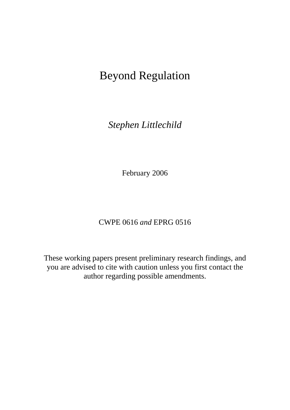# Beyond Regulation

*Stephen Littlechild* 

February 2006

# CWPE 0616 *and* EPRG 0516

These working papers present preliminary research findings, and you are advised to cite with caution unless you first contact the author regarding possible amendments.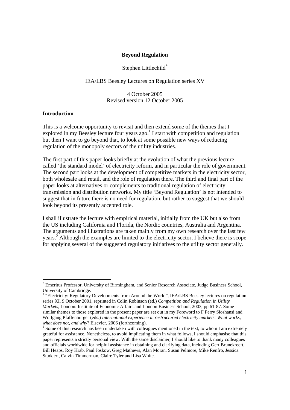# **Beyond Regulation**

# Stephen Littlechild\*

### IEA/LBS Beesley Lectures on Regulation series XV

4 October 2005 Revised version 12 October 2005

### **Introduction**

This is a welcome opportunity to revisit and then extend some of the themes that I explored in my Beesley lecture four years ago.<sup>1</sup> I start with competition and regulation but then I want to go beyond that, to look at some possible new ways of reducing regulation of the monopoly sectors of the utility industries.

The first part of this paper looks briefly at the evolution of what the previous lecture called 'the standard model' of electricity reform, and in particular the role of government. The second part looks at the development of competitive markets in the electricity sector, both wholesale and retail, and the role of regulation there. The third and final part of the paper looks at alternatives or complements to traditional regulation of electricity transmission and distribution networks. My title 'Beyond Regulation' is not intended to suggest that in future there is no need for regulation, but rather to suggest that we should look beyond its presently accepted role.

I shall illustrate the lecture with empirical material, initially from the UK but also from the US including California and Florida, the Nordic countries, Australia and Argentina. The arguments and illustrations are taken mainly from my own research over the last few years.<sup>2</sup> Although the examples are limited to the electricity sector, I believe there is scope for applying several of the suggested regulatory initiatives to the utility sector generally.

<sup>\*</sup> Emeritus Professor, University of Birmingham, and Senior Research Associate, Judge Business School, University of Cambridge.

<sup>&</sup>lt;sup>1</sup> "Electricity: Regulatory Developments from Around the World", IEA/LBS Beesley lectures on regulation series XI, 9 October 2001, reprinted in Colin Robinson (ed.) *Competition and Regulation in Utility Markets,* London: Institute of Economic Affairs and London Business School*,* 2003, pp 61-87. Some similar themes to those explored in the present paper are set out in my Foreword to F Perry Sioshansi and Wolfgang Pfaffenburger (eds.) *International experience in restructured electricity markets: What works,*  what does not, and why? Elsevier, 2006 (forthcoming).

<sup>&</sup>lt;sup>2</sup> Some of this research has been undertaken with colleagues mentioned in the text, to whom I am extremely grateful for assistance. Nonetheless, to avoid implicating them in what follows, I should emphasise that this paper represents a strictly personal view. With the same disclaimer, I should like to thank many colleagues and officials worldwide for helpful assistance in obtaining and clarifying data, including Gert Brunekreeft, Bill Heaps, Roy Hrab, Paul Joskow, Greg Mathews, Alan Moran, Susan Pelmore, Mike Renfro, Jessica Studdert, Calvin Timmerman, Claire Tyler and Lisa White.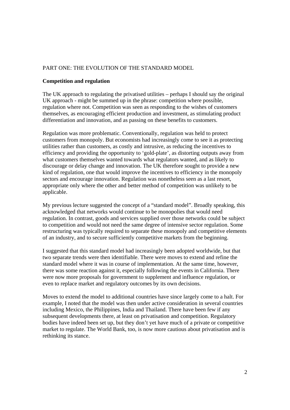# PART ONE: THE EVOLUTION OF THE STANDARD MODEL

### **Competition and regulation**

The UK approach to regulating the privatised utilities – perhaps I should say the original UK approach - might be summed up in the phrase: competition where possible, regulation where not. Competition was seen as responding to the wishes of customers themselves, as encouraging efficient production and investment, as stimulating product differentiation and innovation, and as passing on these benefits to customers.

Regulation was more problematic. Conventionally, regulation was held to protect customers from monopoly. But economists had increasingly come to see it as protecting utilities rather than customers, as costly and intrusive, as reducing the incentives to efficiency and providing the opportunity to 'gold-plate', as distorting outputs away from what customers themselves wanted towards what regulators wanted, and as likely to discourage or delay change and innovation. The UK therefore sought to provide a new kind of regulation, one that would improve the incentives to efficiency in the monopoly sectors and encourage innovation. Regulation was nonetheless seen as a last resort, appropriate only where the other and better method of competition was unlikely to be applicable.

My previous lecture suggested the concept of a "standard model". Broadly speaking, this acknowledged that networks would continue to be monopolies that would need regulation. In contrast, goods and services supplied over those networks could be subject to competition and would not need the same degree of intensive sector regulation. Some restructuring was typically required to separate these monopoly and competitive elements of an industry, and to secure sufficiently competitive markets from the beginning.

I suggested that this standard model had increasingly been adopted worldwide, but that two separate trends were then identifiable. There were moves to extend and refine the standard model where it was in course of implementation. At the same time, however, there was some reaction against it, especially following the events in California. There were now more proposals for government to supplement and influence regulation, or even to replace market and regulatory outcomes by its own decisions.

Moves to extend the model to additional countries have since largely come to a halt. For example, I noted that the model was then under active consideration in several countries including Mexico, the Philippines, India and Thailand. There have been few if any subsequent developments there, at least on privatisation and competition. Regulatory bodies have indeed been set up, but they don't yet have much of a private or competitive market to regulate. The World Bank, too, is now more cautious about privatisation and is rethinking its stance.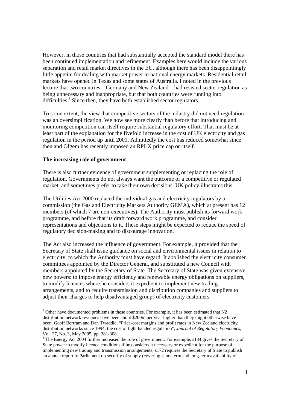However, in those countries that had substantially accepted the standard model there has been continued implementation and refinement. Examples here would include the various separation and retail market directives in the EU, although there has been disappointingly little appetite for dealing with market power in national energy markets. Residential retail markets have opened in Texas and some states of Australia. I noted in the previous lecture that two countries – Germany and New Zealand – had resisted sector regulation as being unnecessary and inappropriate, but that both countries were running into difficulties.<sup>3</sup> Since then, they have both established sector regulators.

To some extent, the view that competitive sectors of the industry did not need regulation was an oversimplification. We now see more clearly than before that introducing and monitoring competition can itself require substantial regulatory effort. That must be at least part of the explanation for the fivefold increase in the cost of UK electricity and gas regulation in the period up until 2001. Admittedly the cost has reduced somewhat since then and Ofgem has recently imposed an RPI-X price cap on itself.

### **The increasing role of government**

There is also further evidence of government supplementing or replacing the role of regulation. Governments do not always want the outcome of a competitive or regulated market, and sometimes prefer to take their own decisions. UK policy illustrates this.

The Utilities Act 2000 replaced the individual gas and electricity regulators by a commission (the Gas and Electricity Markets Authority GEMA), which at present has 12 members (of which 7 are non-executives). The Authority must publish its forward work programme, and before that its draft forward work programme, and consider representations and objections to it. These steps might be expected to reduce the speed of regulatory decision-making and to discourage innovation.

The Act also increased the influence of government. For example, it provided that the Secretary of State shall issue guidance on social and environmental issues in relation to electricity, to which the Authority must have regard. It abolished the electricity consumer committees appointed by the Director General, and substituted a new Council with members appointed by the Secretary of State. The Secretary of State was given extensive new powers: to impose energy efficiency and renewable energy obligations on suppliers, to modify licences where he considers it expedient to implement new trading arrangements, and to require transmission and distribution companies and suppliers to adjust their charges to help disadvantaged groups of electricity customers.<sup>4</sup>

<sup>&</sup>lt;sup>3</sup> Other have documented problems in these countries. For example, it has been estimated that NZ distribution network revenues have been about \$200m per year higher than they might otherwise have been. Geoff Bertram and Dan Twaddle, "Price-cost margins and profit rates in New Zealand electricity distribution networks since 1994: the cost of light handed regulation", *Journal of Regulatory Economics*, Vol. 27, No. 3, May 2005, pp. 281-308.

<sup>&</sup>lt;sup>4</sup> The Energy Act 2004 further increased the role of government. For example, s134 gives the Secretary of State power to modify licence conditions if he considers it necessary or expedient for the purpose of implementing new trading and transmission arrangements; s172 requires the Secretary of State to publish an annual report to Parliament on security of supply (covering short-term and long-term availability of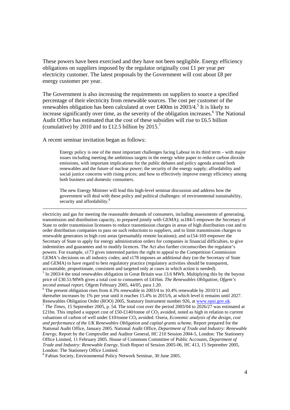These powers have been exercised and they have not been negligible. Energy efficiency obligations on suppliers imposed by the regulator originally cost £1 per year per electricity customer. The latest proposals by the Government will cost about £8 per energy customer per year.

The Government is also increasing the requirements on suppliers to source a specified percentage of their electricity from renewable sources. The cost per customer of the renewables obligation has been calculated at over £400m in 2003/4.<sup>5</sup> It is likely to increase significantly over time, as the severity of the obligation increases.<sup>6</sup> The National Audit Office has estimated that the cost of these subsidies will rise to £6.5 billion (cumulative) by 2010 and to £12.5 billion by 2015.<sup>7</sup>

A recent seminar invitation began as follows:

Energy policy is one of the most important challenges facing Labour in its third term – with major issues including meeting the ambitious targets in the energy white paper to reduce carbon dioxide emissions, with important implications for the public debates and policy agenda around both renewables and the future of nuclear power; the security of the energy supply; affordability and social justice concerns with rising prices; and how to effectively improve energy efficiency among both business and domestic consumers.

The new Energy Minister will lead this high-level seminar discussion and address how the government will deal with these policy and political challenges: of environmental sustainability, security and affordability.<sup>8</sup>

 electricity and gas for meeting the reasonable demands of consumers, including assessments of generating, transmission and distribution capacity, to prepared jointly with GEMA); ss184-5 empower the Secretary of State to order transmission licensees to reduce transmission charges in areas of high distribution cost and to order distribution companies to pass on such reductions to suppliers, and to limit transmission charges to renewable generators in high cost areas (presumably remote locations); and ss154-169 empower the Secretary of State to apply for energy administration orders for companies in financial difficulties, to give indemnities and guarantees and to modify licences. The Act also further circumscribes the regulator's powers. For example, s173 gives interested parties the right to appeal to the Competition Commission GEMA's decisions on all industry codes; and s178 imposes an additional duty (on the Secretary of State and GEMA) to have regard to best regulatory practice (regulatory activities should be transparent, accountable, proportionate, consistent and targeted only at cases in which action is needed).  $<sup>5</sup>$  In 2003/4 the total renewables obligation in Great Britain was 13.6 MWh. Multiplying this by the buyout</sup>

price of £30.51/MWh gives a total cost to consumers of £416m. *The Renewables Obligation, Ofgem's second annual report*, Ofgem February 2005, 44/05, para 1.20.

 $6$  The present obligation rises from 4.3% renewable in 2003/4 to 10.4% renewable by 2010/11 and thereafter increases by 1% per year until it reaches 15.4% in 2015/6, at which level it remains until 2027.<br>Renewables Obligation Order (ROO) 2005, Statutory Instrument number 926, at www.opsi.gov.uk. <sup>7</sup> The Times, 15 September 2005, p. 54. The total cost over the period 2003/04 to 2026/27 was estimated at £21bn. This implied a support cost of £50-£140/tonne of  $CO_2$  avoided, noted as high in relation to current valuations of carbon of well under £10/tonne CO<sub>2</sub> avoided. Oxera, *Economic analysis of the design, cost and performance of the UK Renewables Obligation and capital grants scheme*, Report prepared for the National Audit Office, January 2005. National Audit Office, *Department of Trade and Industry: Renewable Energy*, Report by the Comptroller and Auditor General, HC 210 Session 2004-5, London: The Stationery Office Limited, 11 February 2005. House of Commons Committee of Public Accounts, *Department of Trade and Industry: Renewable Energy*, Sixth Report of Session 2005-06, HC 413, 15 September 2005, London: The Stationery Office Limited.

8 Fabian Society, Environmental Policy Network Seminar, 30 June 2005.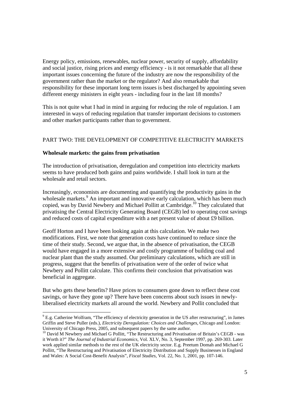Energy policy, emissions, renewables, nuclear power, security of supply, affordability and social justice, rising prices and energy efficiency - is it not remarkable that all these important issues concerning the future of the industry are now the responsibility of the government rather than the market or the regulator? And also remarkable that responsibility for these important long term issues is best discharged by appointing seven different energy ministers in eight years - including four in the last 18 months?

This is not quite what I had in mind in arguing for reducing the role of regulation. I am interested in ways of reducing regulation that transfer important decisions to customers and other market participants rather than to government.

# PART TWO: THE DEVELOPMENT OF COMPETITIVE ELECTRICITY MARKETS

# **Wholesale markets: the gains from privatisation**

The introduction of privatisation, deregulation and competition into electricity markets seems to have produced both gains and pains worldwide. I shall look in turn at the wholesale and retail sectors.

Increasingly, economists are documenting and quantifying the productivity gains in the wholesale markets.<sup>9</sup> An important and innovative early calculation, which has been much copied, was by David Newbery and Michael Pollitt at Cambridge.<sup>10</sup> They calculated that privatising the Central Electricity Generating Board (CEGB) led to operating cost savings and reduced costs of capital expenditure with a net present value of about £9 billion.

Geoff Horton and I have been looking again at this calculation. We make two modifications. First, we note that generation costs have continued to reduce since the time of their study. Second, we argue that, in the absence of privatisation, the CEGB would have engaged in a more extensive and costly programme of building coal and nuclear plant than the study assumed. Our preliminary calculations, which are still in progress, suggest that the benefits of privatisation were of the order of twice what Newbery and Pollitt calculate. This confirms their conclusion that privatisation was beneficial in aggregate.

But who gets these benefits? Have prices to consumers gone down to reflect these cost savings, or have they gone up? There have been concerns about such issues in newlyliberalised electricity markets all around the world. Newbery and Pollit concluded that

<sup>&</sup>lt;sup>9</sup> E.g. Catherine Wolfram, "The efficiency of electricity generation in the US after restructuring", in James Griffin and Steve Puller (eds.), *Electricity Deregulation: Choices and Challenges*, Chicago and London: University of Chicago Press, 2005, and subsequent papers by the same author.

<sup>&</sup>lt;sup>10</sup> David M Newbery and Michael G Pollitt, "The Restructuring and Privatisation of Britain's CEGB - was it Worth it?" *The Journal of Industrial Economics*, Vol. XLV, No. 3, September 1997, pp. 269-303. Later work applied similar methods to the rest of the UK electricity sector. E.g. Preetum Domah and Michael G Pollitt, "The Restructuring and Privatisation of Electricity Distribution and Supply Businesses in England and Wales: A Social Cost-Benefit Analysis", *Fiscal Studies*, Vol. 22, No. 1, 2001, pp. 107-146.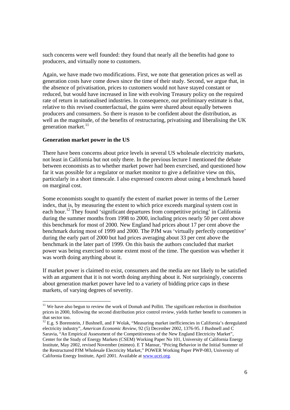such concerns were well founded: they found that nearly all the benefits had gone to producers, and virtually none to customers.

Again, we have made two modifications. First, we note that generation prices as well as generation costs have come down since the time of their study. Second, we argue that, in the absence of privatisation, prices to customers would not have stayed constant or reduced, but would have increased in line with evolving Treasury policy on the required rate of return in nationalised industries. In consequence, our preliminary estimate is that, relative to this revised counterfactual, the gains were shared about equally between producers and consumers. So there is reason to be confident about the distribution, as well as the magnitude, of the benefits of restructuring, privatising and liberalising the UK generation market.<sup>11</sup>

### **Generation market power in the US**

There have been concerns about price levels in several US wholesale electricity markets, not least in California but not only there. In the previous lecture I mentioned the debate between economists as to whether market power had been exercised, and questioned how far it was possible for a regulator or market monitor to give a definitive view on this, particularly in a short timescale. I also expressed concern about using a benchmark based on marginal cost.

Some economists sought to quantify the extent of market power in terms of the Lerner index, that is, by measuring the extent to which price exceeds marginal system cost in each hour.12 They found 'significant departures from competitive pricing' in California during the summer months from 1998 to 2000, including prices nearly 50 per cent above this benchmark for most of 2000. New England had prices about 17 per cent above the benchmark during most of 1999 and 2000. The PJM was 'virtually perfectly competitive' during the early part of 2000 but had prices averaging about 33 per cent above the benchmark in the later part of 1999. On this basis the authors concluded that market power was being exercised to some extent most of the time. The question was whether it was worth doing anything about it.

If market power is claimed to exist, consumers and the media are not likely to be satisfied with an argument that it is not worth doing anything about it. Not surprisingly, concerns about generation market power have led to a variety of bidding price caps in these markets, of varying degrees of severity.

 $11$  We have also begun to review the work of Domah and Pollitt. The significant reduction in distribution prices in 2000, following the second distribution price control review, yields further benefit to customers in that sector too.

 $12$  E.g. S Borenstein, J Bushnell, and F Wolak, "Measuring market inefficiencies in California's deregulated electricity industry", *American Economic Review*, 92 (5) December 2002, 1376-95. J Bushnell and C Saravia, "An Empirical Assessment of the Competitiveness of the New England Electricity Market", Center for the Study of Energy Markets (CSEM) Working Paper No 101, University of California Energy Institute, May 2002, revised November (mimeo). E T Mansur, "Pricing Behavior in the Initial Summer of the Restructured PJM Wholesale Electricity Market," POWER Working Paper PWP-083, University of California Energy Institute, April 2001. Available at www.ucei.org.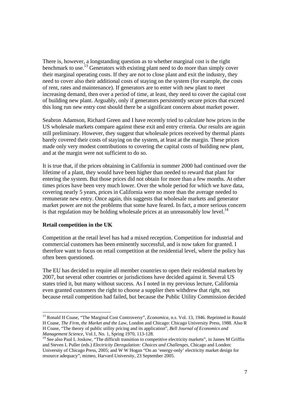There is, however, a longstanding question as to whether marginal cost is the right benchmark to use.<sup>13</sup> Generators with existing plant need to do more than simply cover their marginal operating costs. If they are not to close plant and exit the industry, they need to cover also their additional costs of staying on the system (for example, the costs of rent, rates and maintenance). If generators are to enter with new plant to meet increasing demand, then over a period of time, at least, they need to cover the capital cost of building new plant. Arguably, only if generators persistently secure prices that exceed this long run new entry cost should there be a significant concern about market power.

Seabron Adamson, Richard Green and I have recently tried to calculate how prices in the US wholesale markets compare against these exit and entry criteria. Our results are again still preliminary. However, they suggest that wholesale prices received by thermal plants barely covered their costs of staying on the system, at least at the margin. These prices made only very modest contributions to covering the capital costs of building new plant, and at the margin were not sufficient to do so.

It is true that, if the prices obtaining in California in summer 2000 had continued over the lifetime of a plant, they would have been higher than needed to reward that plant for entering the system. But those prices did not obtain for more than a few months. At other times prices have been very much lower. Over the whole period for which we have data, covering nearly 5 years, prices in California were no more than the average needed to remunerate new entry. Once again, this suggests that wholesale markets and generator market power are not the problems that some have feared. In fact, a more serious concern is that regulation may be holding wholesale prices at an unreasonably low level.<sup>14</sup>

### **Retail competition in the UK**

Competition at the retail level has had a mixed reception. Competition for industrial and commercial customers has been eminently successful, and is now taken for granted. I therefore want to focus on retail competition at the residential level, where the policy has often been questioned.

The EU has decided to require all member countries to open their residential markets by 2007, but several other countries or jurisdictions have decided against it. Several US states tried it, but many without success. As I noted in my previous lecture, California even granted customers the right to choose a supplier then withdrew that right, not because retail competition had failed, but because the Public Utility Commission decided

<sup>&</sup>lt;sup>13</sup> Ronald H Coase, "The Marginal Cost Controversy", *Economica*, n.s. Vol. 13, 1946. Reprinted in Ronald H Coase, *The Firm, the Market and the Law*, London and Chicago: Chicago University Press, 1988. Also R H Coase, "The theory of public utility pricing and its application", *Bell Journal of Economics and* 

<sup>&</sup>lt;sup>14</sup> See also Paul L Joskow, "The difficult transition to competitive electricity markets", in James M Griffin and Steven L Puller (eds.) *Electricity Deregulation: Choices and Challenges*, Chicago and London: University of Chicago Press, 2005; and W W Hogan "On an 'energy-only' electricity market design for resource adequacy", mimeo, Harvard University, 23 September 2005.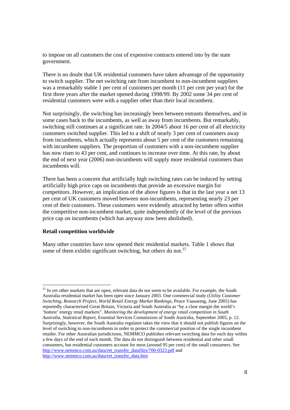to impose on all customers the cost of expensive contracts entered into by the state government.

There is no doubt that UK residential customers have taken advantage of the opportunity to switch supplier. The net switching rate from incumbent to non-incumbent suppliers was a remarkably stable 1 per cent of customers per month (11 per cent per year) for the first three years after the market opened during 1998/99. By 2002 some 34 per cent of residential customers were with a supplier other than their local incumbent.

Not surprisingly, the switching has increasingly been between entrants themselves, and in some cases back to the incumbents, as well as away from incumbents. But remarkably, switching still continues at a significant rate. In 2004/5 about 16 per cent of all electricity customers switched supplier. This led to a shift of nearly 3 per cent of customers away from incumbents, which actually represents about 5 per cent of the customers remaining with incumbent suppliers. The proportion of customers with a non-incumbent supplier has now risen to 43 per cent, and continues to increase over time. At this rate, by about the end of next year (2006) non-incumbents will supply more residential customers than incumbents will.

There has been a concern that artificially high switching rates can be induced by setting artificially high price caps on incumbents that provide an excessive margin for competitors. However, an implication of the above figures is that in the last year a net 13 per cent of UK customers moved between non-incumbents, representing nearly 23 per cent of their customers. These customers were evidently attracted by better offers *within* the competitive non-incumbent market, quite independently of the level of the previous price cap on incumbents (which has anyway now been abolished).

### **Retail competition worldwide**

Many other countries have now opened their residential markets. Table 1 shows that some of them exhibit significant switching, but others do not.<sup>15</sup>

<sup>&</sup>lt;sup>15</sup> In yet other markets that are open, relevant data do not seem to be available. For example, the South Australia residential market has been open since January 2003. One commercial study (*Utility Customer Switching, Research Project, World Retail Energy Market Rankings*, Peace Vaasaemg, June 2005) has reportedly characterised Great Britain, Victoria and South Australia as "by a clear margin the world's 'hottest' energy retail markets". *Monitoring the development of energy retail competition in South Australia, Statistical Report*, Essential Services Commission of South Australia, September 2005, p. 12. Surprisingly, however, the South Australia regulator takes the view that it should not publish figures on the level of switching to non-incumbents in order to protect the commercial position of the single incumbent retailer. For other Australian jurisdictions, NEMMCO publishes relevant switching data for each day within a few days of the end of each month. The data do not distinguish between residential and other small consumers, but residential customers account for most (around 95 per cent) of the small consumers. See http://www.nemmco.com.au/data/ret\_transfer\_datafiles/700-0323.pdf and http://www.nemmco.com.au/data/ret\_transfer\_data.htm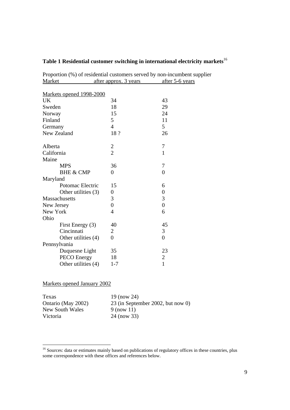# **Table 1 Residential customer switching in international electricity markets**<sup>16</sup>

Proportion (%) of residential customers served by non-incumbent supplier Market after approx. 3 years after 5-6 years

| Markets opened 1998-2000 |                |                  |
|--------------------------|----------------|------------------|
| UK                       | 34             | 43               |
| Sweden                   | 18             | 29               |
| Norway                   | 15             | 24               |
| Finland                  | 5              | 11               |
| Germany                  | $\overline{4}$ | 5 <sup>5</sup>   |
| New Zealand              | 18?            | 26               |
| Alberta                  | $\overline{c}$ | 7                |
| California               | $\overline{2}$ | $\mathbf{1}$     |
| Maine                    |                |                  |
| <b>MPS</b>               | 36             | 7                |
| <b>BHE &amp; CMP</b>     | 0              | $\overline{0}$   |
| Maryland                 |                |                  |
| Potomac Electric         | 15             | 6                |
| Other utilities (3)      | 0              | $\boldsymbol{0}$ |
| Massachusetts            | 3              | 3                |
| New Jersey               | $\overline{0}$ | $\overline{0}$   |
| New York                 | 4              | 6                |
| Ohio                     |                |                  |
| First Energy (3)         | 40             | 45               |
| Cincinnati               | 2              | 3                |
| Other utilities (4)      | 0              | $\boldsymbol{0}$ |
| Pennsylvania             |                |                  |
| Duquesne Light           | 35             | 23               |
| <b>PECO</b> Energy       | 18             | $\overline{2}$   |
| Other utilities (4)      | $1 - 7$        | $\mathbf{1}$     |

# Markets opened January 2002

| Texas              | 19 (now 24)                       |
|--------------------|-----------------------------------|
| Ontario (May 2002) | 23 (in September 2002, but now 0) |
| New South Wales    | $9$ (now 11)                      |
| Victoria           | 24 (now 33)                       |

<sup>&</sup>lt;sup>16</sup> Sources: data or estimates mainly based on publications of regulatory offices in these countries, plus some correspondence with these offices and references below.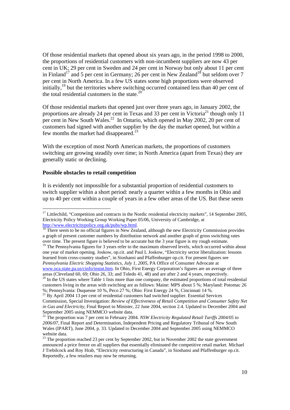Of those residential markets that opened about six years ago, in the period 1998 to 2000, the proportions of residential customers with non-incumbent suppliers are now 43 per cent in UK; 29 per cent in Sweden and 24 per cent in Norway but only about 11 per cent in Finland<sup>17</sup> and 5 per cent in Germany; 26 per cent in New Zealand<sup>18</sup> but seldom over 7 per cent in North America. In a few US states some high proportions were observed initially, $^{19}$  but the territories where switching occurred contained less than 40 per cent of the total residential customers in the state. $^{20}$ 

Of those residential markets that opened just over three years ago, in January 2002, the proportions are already 24 per cent in Texas and 33 per cent in Victoria<sup>21</sup> though only 11 per cent in New South Wales.<sup>22</sup> In Ontario, which opened in May 2002, 20 per cent of customers had signed with another supplier by the day the market opened, but within a few months the market had disappeared.<sup>23</sup>

With the exception of most North American markets, the proportions of customers switching are growing steadily over time; in North America (apart from Texas) they are generally static or declining.

# **Possible obstacles to retail competition**

It is evidently not impossible for a substantial proportion of residential customers to switch supplier within a short period: nearly a quarter within a few months in Ohio and up to 40 per cent within a couple of years in a few other areas of the US. But these seem

<sup>19</sup> The Pennsylvania figures for 3 years refer to the maximum observed levels, which occurred within about one year of market opening. Joskow, op.cit. and Paul L Joskow, "Electricity sector liberalization: lessons learned from cross-country studies", in Sioshansi and Pfaffenburger op.cit. For present figures see *Pennsylvania Electric Shopping Statistics, July 1, 2005*, PA Office of Consumer Advocate at www.oca.state.pa.us/cinfo/instat.htm. In Ohio, First Energy Corporation's figures are an average of three

 <sup>17</sup> Littlechild, "Competition and contracts in the Nordic residential electricity markets", 14 September 2005, Electricity Policy Working Group Working Paper 05/06, University of Cambridge, at

 $\frac{http://www.electricitypolicy.org.uk/pubs/wp.html}{18}$  There seem to be no official figures in New Zealand, although the new Electricity Commission provides a graph of present customer numbers by distribution network and another graph of gross switching rates over time. The present figure is believed to be accurate but the 3 year figure is my rough estimate.

areas (Cleveland 60, 69; Ohio 26, 33; and Toledo 41, 48) and are after 2 and 4 years, respectively. <sup>20</sup> In the US states where Table 1 lists more than one company, the estimated proportions of total residential customers living in the areas with switching are as follows: Maine: MPS about 5 %; Maryland: Potomac 26 %; Pennsylvania: Duquesne 10 %, Peco 27 %; Ohio: First Energy 24 %, Cincinnati 14 %.

<sup>&</sup>lt;sup>21</sup> By April 2004 13 per cent of residential customers had switched supplier. Essential Services Commission, Special Investigation: *Review of Effectiveness of Retail Competition and Consumer Safety Net in Gas and Electricity*, Final Report to Minister, 22 June 2004, section 2.4. Updated to December 2004 and September 2005 using NEMMCO website data.

<sup>&</sup>lt;sup>22</sup> The proportion was 7 per cent in February 2004. *NSW Electricity Regulated Retail Tariffs 2004/05 to 2006/07*, Final Report and Determination, Independent Pricing and Regulatory Tribunal of New South Wales (IPART), June 2004, p. 33. Updated to December 2004 and September 2005 using NEMMCO website data.

 $^{23}$  The proportion reached 23 per cent by September 2002, but in November 2002 the state government announced a price freeze on all suppliers that essentially eliminated the competitive retail market. Michael J Trebilcock and Roy Hrab, "Electricity restructuring in Canada", in Sioshansi and Pfaffenburger op.cit. Reportedly, a few retailers may now be returning.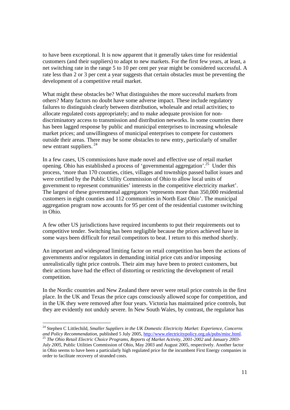to have been exceptional. It is now apparent that it generally takes time for residential customers (and their suppliers) to adapt to new markets. For the first few years, at least, a net switching rate in the range 5 to 10 per cent per year might be considered successful. A rate less than 2 or 3 per cent a year suggests that certain obstacles must be preventing the development of a competitive retail market.

What might these obstacles be? What distinguishes the more successful markets from others? Many factors no doubt have some adverse impact. These include regulatory failures to distinguish clearly between distribution, wholesale and retail activities; to allocate regulated costs appropriately; and to make adequate provision for nondiscriminatory access to transmission and distribution networks. In some countries there has been lagged response by public and municipal enterprises to increasing wholesale market prices; and unwillingness of municipal enterprises to compete for customers outside their areas. There may be some obstacles to new entry, particularly of smaller new entrant suppliers.<sup>24</sup>

In a few cases, US commissions have made novel and effective use of retail market opening. Ohio has established a process of 'governmental aggregation'.25 Under this process, 'more than 170 counties, cities, villages and townships passed ballot issues and were certified by the Public Utility Commission of Ohio to allow local units of government to represent communities' interests in the competitive electricity market'. The largest of these governmental aggregators 'represents more than 350,000 residential customers in eight counties and 112 communities in North East Ohio'. The municipal aggregation program now accounts for 95 per cent of the residential customer switching in Ohio.

A few other US jurisdictions have required incumbents to put their requirements out to competitive tender. Switching has been negligible because the prices achieved have in some ways been difficult for retail competitors to beat. I return to this method shortly.

An important and widespread limiting factor on retail competition has been the actions of governments and/or regulators in demanding initial price cuts and/or imposing unrealistically tight price controls. Their aim may have been to protect customers, but their actions have had the effect of distorting or restricting the development of retail competition.

In the Nordic countries and New Zealand there never were retail price controls in the first place. In the UK and Texas the price caps consciously allowed scope for competition, and in the UK they were removed after four years. Victoria has maintained price controls, but they are evidently not unduly severe. In New South Wales, by contrast, the regulator has

 $\overline{a}$ 

<sup>24</sup> Stephen C Littlechild, *Smaller Suppliers in the UK Domestic Electricity Market: Experience, Concerns and Policy Recommendation*, published 5 July 2005, http://www.electricitypolicy.org.uk/pubs/misc.html. <sup>25</sup> *The Ohio Retail Electric Choice Programs, Reports of Market Activity, 2001-2002* and *January 2003-*

*July 2005*, Public Utilities Commission of Ohio, May 2003 and August 2005, respectively. Another factor in Ohio seems to have been a particularly high regulated price for the incumbent First Energy companies in order to facilitate recovery of stranded costs.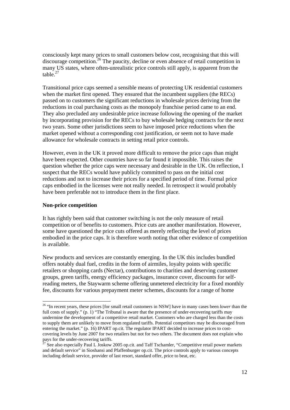consciously kept many prices to small customers below cost, recognising that this will discourage competition.<sup>26</sup> The paucity, decline or even absence of retail competition in many US states, where often-unrealistic price controls still apply, is apparent from the table. $27$ 

Transitional price caps seemed a sensible means of protecting UK residential customers when the market first opened. They ensured that the incumbent suppliers (the RECs) passed on to customers the significant reductions in wholesale prices deriving from the reductions in coal purchasing costs as the monopoly franchise period came to an end. They also precluded any undesirable price increase following the opening of the market by incorporating provision for the RECs to buy wholesale hedging contracts for the next two years. Some other jurisdictions seem to have imposed price reductions when the market opened without a corresponding cost justification, or seem not to have made allowance for wholesale contracts in setting retail price controls.

However, even in the UK it proved more difficult to remove the price caps than might have been expected. Other countries have so far found it impossible. This raises the question whether the price caps were necessary and desirable in the UK. On reflection, I suspect that the RECs would have publicly committed to pass on the initial cost reductions and not to increase their prices for a specified period of time. Formal price caps embodied in the licenses were not really needed. In retrospect it would probably have been preferable not to introduce them in the first place.

# **Non-price competition**

It has rightly been said that customer switching is not the only measure of retail competition or of benefits to customers. Price cuts are another manifestation. However, some have questioned the price cuts offered as merely reflecting the level of prices embodied in the price caps. It is therefore worth noting that other evidence of competition is available.

New products and services are constantly emerging. In the UK this includes bundled offers notably dual fuel, credits in the form of airmiles, loyalty points with specific retailers or shopping cards (Nectar), contributions to charities and deserving customer groups, green tariffs, energy efficiency packages, insurance cover, discounts for selfreading meters, the Staywarm scheme offering unmetered electricity for a fixed monthly fee, discounts for various prepayment meter schemes, discounts for a range of home

<sup>26 &</sup>quot;In recent years, these prices [for small retail customers in NSW] have in many cases been *lower* than the full costs of supply." (p. 1) "The Tribunal is aware that the presence of under-recovering tariffs may undermine the development of a competitive retail market. Customers who are charged less than the costs to supply them are unlikely to move from regulated tariffs. Potential competitors may be discouraged from entering the market." (p. 16) IPART op.cit. The regulator IPART decided to increase prices to costcovering levels by June 2007 for two retailers but not for two others. The document does not explain who pays for the under-recovering tariffs.

See also especially Paul L Joskow 2005 op.cit. and Taff Tschamler, "Competitive retail power markets and default service" in Sioshansi and Pfaffenburger op.cit. The price controls apply to various concepts including default service, provider of last resort, standard offer, price to beat, etc.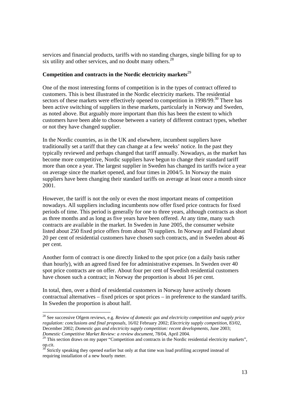services and financial products, tariffs with no standing charges, single billing for up to six utility and other services, and no doubt many others.<sup>28</sup>

# **Competition and contracts in the Nordic electricity markets**<sup>29</sup>

One of the most interesting forms of competition is in the types of contract offered to customers. This is best illustrated in the Nordic electricity markets. The residential sectors of these markets were effectively opened to competition in  $1998/99$ .<sup>30</sup> There has been active switching of suppliers in these markets, particularly in Norway and Sweden, as noted above. But arguably more important than this has been the extent to which customers have been able to choose between a variety of different contract types, whether or not they have changed supplier.

In the Nordic countries, as in the UK and elsewhere, incumbent suppliers have traditionally set a tariff that they can change at a few weeks' notice. In the past they typically reviewed and perhaps changed that tariff annually. Nowadays, as the market has become more competitive, Nordic suppliers have begun to change their standard tariff more than once a year. The largest supplier in Sweden has changed its tariffs twice a year on average since the market opened, and four times in 2004/5. In Norway the main suppliers have been changing their standard tariffs on average at least once a month since 2001.

However, the tariff is not the only or even the most important means of competition nowadays. All suppliers including incumbents now offer fixed price contracts for fixed periods of time. This period is generally for one to three years, although contracts as short as three months and as long as five years have been offered. At any time, many such contracts are available in the market. In Sweden in June 2005, the consumer website listed about 250 fixed price offers from about 70 suppliers. In Norway and Finland about 20 per cent of residential customers have chosen such contracts, and in Sweden about 46 per cent.

Another form of contract is one directly linked to the spot price (on a daily basis rather than hourly), with an agreed fixed fee for administrative expenses. In Sweden over 40 spot price contracts are on offer. About four per cent of Swedish residential customers have chosen such a contract; in Norway the proportion is about 16 per cent.

In total, then, over a third of residential customers in Norway have actively chosen contractual alternatives – fixed prices or spot prices – in preference to the standard tariffs. In Sweden the proportion is about half.

<sup>28</sup> See successive Ofgem reviews, e.g. *Review of domestic gas and electricity competition and supply price regulation: conclusions and final proposals*, 16/02 February 2002; *Electricity supply competition*, 83/02, December 2002; *Domestic gas and electricity supply competition: recent developments*, June 2003;

<sup>&</sup>lt;sup>29</sup> This section draws on my paper "Competition and contracts in the Nordic residential electricity markets", op.cit.

Strictly speaking they opened earlier but only at that time was load profiling accepted instead of requiring installation of a new hourly meter.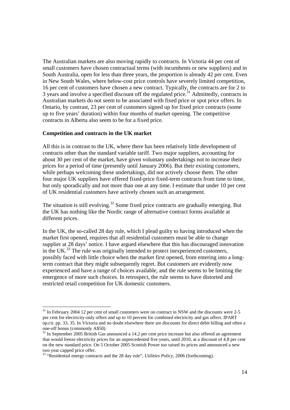The Australian markets are also moving rapidly to contracts. In Victoria 44 per cent of small customers have chosen contractual terms (with incumbents or new suppliers) and in South Australia, open for less than three years, the proportion is already 42 per cent. Even in New South Wales, where below-cost price controls have severely limited competition, 16 per cent of customers have chosen a new contract. Typically, the contracts are for 2 to  $\overline{3}$  years and involve a specified discount off the regulated price.<sup>31</sup> Admittedly, contracts in Australian markets do not seem to be associated with fixed price or spot price offers. In Ontario, by contrast, 23 per cent of customers signed up for fixed price contracts (some up to five years' duration) within four months of market opening. The competitive contracts in Alberta also seem to be for a fixed price.

# **Competition and contracts in the UK market**

All this is in contrast to the UK, where there has been relatively little development of contracts other than the standard variable tariff. Two major suppliers, accounting for about 30 per cent of the market, have given voluntary undertakings not to increase their prices for a period of time (presently until January 2006). But their existing customers, while perhaps welcoming these undertakings, did not actively choose them. The other four major UK suppliers have offered fixed-price fixed-term contracts from time to time, but only sporadically and not more than one at any time. I estimate that under 10 per cent of UK residential customers have actively chosen such an arrangement.

The situation is still evolving.<sup>32</sup> Some fixed price contracts are gradually emerging. But the UK has nothing like the Nordic range of alternative contract forms available at different prices.

In the UK, the so-called 28 day rule, which I plead guilty to having introduced when the market first opened, requires that all residential customers must be able to change supplier at 28 days' notice. I have argued elsewhere that this has discouraged innovation in the UK.<sup>33</sup> The rule was originally intended to protect inexperienced customers, possibly faced with little choice when the market first opened, from entering into a longterm contract that they might subsequently regret. But customers are evidently now experienced and have a range of choices available, and the rule seems to be limiting the emergence of more such choices. In retrospect, the rule seems to have distorted and restricted retail competition for UK domestic customers.

  $31$  In February 2004 12 per cent of small customers were on contract in NSW and the discounts were 2-5 per cent for electricity-only offers and up to 10 percent for combined electricity and gas offers. IPART op.cit. pp. 33, 35. In Victoria and no doubt elsewhere there are discounts for direct debit billing and often a one-off bonus (commonly A\$50).

<sup>&</sup>lt;sup>32</sup> In September 2005 British Gas announced a 14.2 per cent price increase but also offered an agreement that would freeze electricity prices for an unprecedented five years, until 2010, at a discount of 4.8 per cent on the new standard price. On 5 October 2005 Scottish Power too raised its prices and announced a new two year capped price offer.

<sup>33 &</sup>quot;Residential energy contracts and the 28 day rule", *Utilities Policy,* 2006 (forthcoming).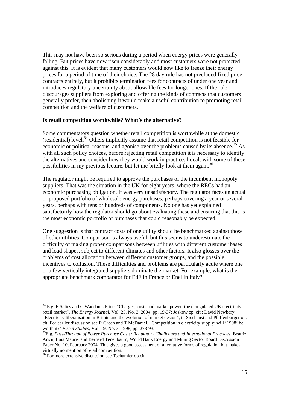This may not have been so serious during a period when energy prices were generally falling. But prices have now risen considerably and most customers were not protected against this. It is evident that many customers would now like to freeze their energy prices for a period of time of their choice. The 28 day rule has not precluded fixed price contracts entirely, but it prohibits termination fees for contracts of under one year and introduces regulatory uncertainty about allowable fees for longer ones. If the rule discourages suppliers from exploring and offering the kinds of contracts that customers generally prefer, then abolishing it would make a useful contribution to promoting retail competition and the welfare of customers.

#### **Is retail competition worthwhile? What's the alternative?**

Some commentators question whether retail competition is worthwhile at the domestic (residential) level.<sup>34</sup> Others implicitly assume that retail competition is not feasible for economic or political reasons, and agonise over the problems caused by its absence.<sup>35</sup> As with all such policy choices, before rejecting retail competition it is necessary to identify the alternatives and consider how they would work in practice. I dealt with some of these possibilities in my previous lecture, but let me briefly look at them again.<sup>36</sup>

The regulator might be required to approve the purchases of the incumbent monopoly suppliers. That was the situation in the UK for eight years, where the RECs had an economic purchasing obligation. It was very unsatisfactory. The regulator faces an actual or proposed portfolio of wholesale energy purchases, perhaps covering a year or several years, perhaps with tens or hundreds of components. No one has yet explained satisfactorily how the regulator should go about evaluating these and ensuring that this is the most economic portfolio of purchases that could reasonably be expected.

One suggestion is that contract costs of one utility should be benchmarked against those of other utilities. Comparison is always useful, but this seems to underestimate the difficulty of making proper comparisons between utilities with different customer bases and load shapes, subject to different climates and other factors. It also glosses over the problems of cost allocation between different customer groups, and the possible incentives to collusion. These difficulties and problems are particularly acute where one or a few vertically integrated suppliers dominate the market. For example, what is the appropriate benchmark comparator for EdF in France or Enel in Italy?

 $34$  E.g. E Salies and C Waddams Price, "Charges, costs and market power: the deregulated UK electricity retail market", *The Energy Journal*, Vol. 25, No. 3, 2004, pp. 19-37; Joskow op. cit.; David Newbery "Electricity liberalisation in Britain and the evolution of market design", in Sioshansi and Pfaffenburger op. cit. For earlier discussion see R Green and T McDaniel, "Competition in electricity supply: will '1998' be

<sup>&</sup>lt;sup>35</sup> E.g. Pass-Through of Power Purchase Costs: Regulatory Challenges and International Practices, Beatriz Arizu, Luis Maurer and Bernard Tenenbaum, World Bank Energy and Mining Sector Board Discussion Paper No. 10, February 2004. This gives a good assessment of alternative forms of regulation but makes virtually no mention of retail competition.

<sup>36</sup> For more extensive discussion see Tschamler op.cit.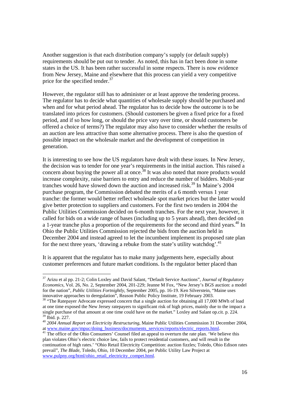Another suggestion is that each distribution company's supply (or default supply) requirements should be put out to tender. As noted, this has in fact been done in some states in the US. It has been rather successful in some respects. There is now evidence from New Jersey, Maine and elsewhere that this process can yield a very competitive price for the specified tender.<sup>37</sup>

However, the regulator still has to administer or at least approve the tendering process. The regulator has to decide what quantities of wholesale supply should be purchased and when and for what period ahead. The regulator has to decide how the outcome is to be translated into prices for customers. (Should customers be given a fixed price for a fixed period, and if so how long, or should the price vary over time, or should customers be offered a choice of terms?) The regulator may also have to consider whether the results of an auction are less attractive than some alternative process. There is also the question of possible impact on the wholesale market and the development of competition in generation.

It is interesting to see how the US regulators have dealt with these issues. In New Jersey, the decision was to tender for one year's requirements in the initial auction. This raised a concern about buying the power all at once.<sup>38</sup> It was also noted that more products would increase complexity, raise barriers to entry and reduce the number of bidders. Multi-year tranches would have slowed down the auction and increased risk.<sup>39</sup> In Maine's  $2004$ purchase program, the Commission debated the merits of a 6 month versus 1 year tranche: the former would better reflect wholesale spot market prices but the latter would give better protection to suppliers and customers. For the first two tenders in 2004 the Public Utilities Commission decided on 6-month tranches. For the next year, however, it called for bids on a wide range of bases (including up to 5 years ahead), then decided on a 1-year tranche plus a proportion of the requirements for the second and third years.<sup>40</sup> In Ohio the Public Utilities Commission rejected the bids from the auction held in December 2004 and instead agreed to let the incumbent implement its proposed rate plan for the next three years, 'drawing a rebuke from the state's utility watchdog'.<sup>41</sup>

It is apparent that the regulator has to make many judgements here, especially about customer preferences and future market conditions. Is the regulator better placed than

<sup>37</sup> Arizu et al pp. 21-2; Colin Loxley and David Salant, "Default Service Auctions", *Journal of Regulatory Economics*, Vol. 26, No. 2, September 2004, 201-229; Jeanne M Fox, "New Jersey's BGS auction: a model for the nation", *Public Utilities Fortnightly*, September 2005, pp. 16-19. Ken Silverstein, "Maine uses innovative approaches to deregulation", Reason Public Policy Institute, 19 February 2003.

<sup>&</sup>lt;sup>38</sup> "The Ratepayer Advocate expressed concern that a single auction for obtaining all 17,000 MWh of load at one time exposed the New Jersey ratepayers to significant risk of high prices, mainly due to the impact a single purchase of that amount at one time could have on the market." Loxley and Salant op.cit. p. 224. 39 Ibid. p. 227.

<sup>40 2004</sup> Annual Report on Electricity Restructuring, Maine Public Utilities Commission 31 December 2004, at www.maine.gov/mpuc/doing business/docmuments services/reports/electric reports.html.

<sup>&</sup>lt;sup>41</sup> The office of the Ohio Consumers' Counsel filed an appeal to overturn the rate plan. 'We believe this plan violates Ohio's electric choice law, fails to protect residential customers, and will result in the continuation of high rates.' "Ohio Retail Electricity Competition: auction fizzles; Toledo, Ohio Edison rates prevail", *The Blade*, Toledo, Ohio, 10 December 2004, per Public Utility Law Project at www.pulpny.org/html/ohio\_retail\_electricity\_compet.html.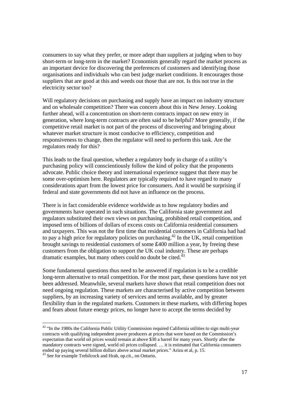consumers to say what they prefer, or more adept than suppliers at judging when to buy short-term or long-term in the market? Economists generally regard the market process as an important device for discovering the preferences of customers and identifying those organisations and individuals who can best judge market conditions. It encourages those suppliers that are good at this and weeds out those that are not. Is this not true in the electricity sector too?

Will regulatory decisions on purchasing and supply have an impact on industry structure and on wholesale competition? There was concern about this in New Jersey. Looking further ahead, will a concentration on short-term contracts impact on new entry in generation, where long-term contracts are often said to be helpful? More generally, if the competitive retail market is not part of the process of discovering and bringing about whatever market structure is most conducive to efficiency, competition and responsiveness to change, then the regulator will need to perform this task. Are the regulators ready for this?

This leads to the final question, whether a regulatory body in charge of a utility's purchasing policy will conscientiously follow the kind of policy that the proponents advocate. Public choice theory and international experience suggest that there may be some over-optimism here. Regulators are typically required to have regard to many considerations apart from the lowest price for consumers. And it would be surprising if federal and state governments did not have an influence on the process.

There is in fact considerable evidence worldwide as to how regulatory bodies and governments have operated in such situations. The California state government and regulators substituted their own views on purchasing, prohibited retail competition, and imposed tens of billions of dollars of excess costs on California residential consumers and taxpayers. This was not the first time that residential customers in California had had to pay a high price for regulatory policies on purchasing.<sup>42</sup> In the UK, retail competition brought savings to residential customers of some £400 million a year, by freeing these customers from the obligation to support the UK coal industry. These are perhaps dramatic examples, but many others could no doubt be cited.<sup>4</sup>

Some fundamental questions thus need to be answered if regulation is to be a credible long-term alternative to retail competition. For the most part, these questions have not yet been addressed. Meanwhile, several markets have shown that retail competition does not need ongoing regulation. These markets are characterised by active competition between suppliers, by an increasing variety of services and terms available, and by greater flexibility than in the regulated markets. Customers in these markets, with differing hopes and fears about future energy prices, no longer have to accept the terms decided by

 $\overline{a}$ 

 $42$  "In the 1980s the California Public Utility Commission required California utilities to sign multi-year contracts with qualifying independent power producers at prices that were based on the Commission's expectation that world oil prices would remain at above \$30 a barrel for many years. Shortly after the mandatory contracts were signed, world oil prices collapsed. … it is estimated that California consumers ended up paying several billion dollars above actual market prices." Arizu et al, p. 15.

<sup>&</sup>lt;sup>43</sup> See for example Trebilcock and Hrab, op.cit., on Ontario.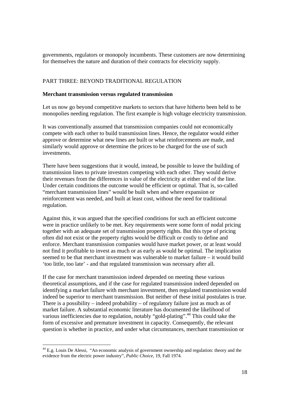governments, regulators or monopoly incumbents. These customers are now determining for themselves the nature and duration of their contracts for electricity supply.

# PART THREE: BEYOND TRADITIONAL REGULATION

### **Merchant transmission versus regulated transmission**

Let us now go beyond competitive markets to sectors that have hitherto been held to be monopolies needing regulation. The first example is high voltage electricity transmission.

It was conventionally assumed that transmission companies could not economically compete with each other to build transmission lines. Hence, the regulator would either approve or determine what new lines are built or what reinforcements are made, and similarly would approve or determine the prices to be charged for the use of such investments.

There have been suggestions that it would, instead, be possible to leave the building of transmission lines to private investors competing with each other. They would derive their revenues from the differences in value of the electricity at either end of the line. Under certain conditions the outcome would be efficient or optimal. That is, so-called "merchant transmission lines" would be built when and where expansion or reinforcement was needed, and built at least cost, without the need for traditional regulation.

Against this, it was argued that the specified conditions for such an efficient outcome were in practice unlikely to be met. Key requirements were some form of nodal pricing together with an adequate set of transmission property rights. But this type of pricing often did not exist or the property rights would be difficult or costly to define and enforce. Merchant transmission companies would have market power, or at least would not find it profitable to invest as much or as early as would be optimal. The implication seemed to be that merchant investment was vulnerable to market failure – it would build 'too little, too late' - and that regulated transmission was necessary after all.

If the case for merchant transmission indeed depended on meeting these various theoretical assumptions, and if the case for regulated transmission indeed depended on identifying a market failure with merchant investment, then regulated transmission would indeed be superior to merchant transmission. But neither of these initial postulates is true. There is a possibility – indeed probability – of regulatory failure just as much as of market failure. A substantial economic literature has documented the likelihood of various inefficiencies due to regulation, notably "gold-plating".<sup>44</sup> This could take the form of excessive and premature investment in capacity. Consequently, the relevant question is whether in practice, and under what circumstances, merchant transmission or

<sup>44</sup> E.g. Louis De Alessi, "An economic analysis of government ownership and regulation: theory and the evidence from the electric power industry", *Public Choice*, 19, Fall 1974.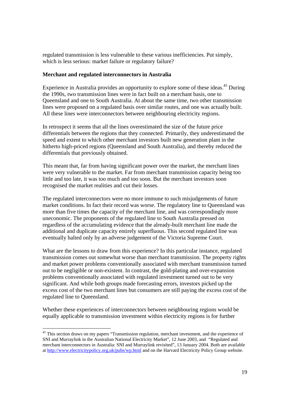regulated transmission is less vulnerable to these various inefficiencies. Put simply, which is less serious: market failure or regulatory failure?

# **Merchant and regulated interconnectors in Australia**

Experience in Australia provides an opportunity to explore some of these ideas.<sup>45</sup> During the 1990s, two transmission lines were in fact built on a merchant basis, one to Queensland and one to South Australia. At about the same time, two other transmission lines were proposed on a regulated basis over similar routes, and one was actually built. All these lines were interconnectors between neighbouring electricity regions.

In retrospect it seems that all the lines overestimated the size of the future price differentials between the regions that they connected. Primarily, they underestimated the speed and extent to which other merchant investors built new generation plant in the hitherto high-priced regions (Queensland and South Australia), and thereby reduced the differentials that previously obtained.

This meant that, far from having significant power over the market, the merchant lines were very vulnerable to the market. Far from merchant transmission capacity being too little and too late, it was too much and too soon. But the merchant investors soon recognised the market realities and cut their losses.

The regulated interconnectors were no more immune to such misjudgements of future market conditions. In fact their record was worse. The regulatory line to Queensland was more than five times the capacity of the merchant line, and was correspondingly more uneconomic. The proponents of the regulated line to South Australia pressed on regardless of the accumulating evidence that the already-built merchant line made the additional and duplicate capacity entirely superfluous. This second regulated line was eventually halted only by an adverse judgement of the Victoria Supreme Court.

What are the lessons to draw from this experience? In this particular instance, regulated transmission comes out somewhat worse than merchant transmission. The property rights and market power problems conventionally associated with merchant transmission turned out to be negligible or non-existent. In contrast, the gold-plating and over-expansion problems conventionally associated with regulated investment turned out to be very significant. And while both groups made forecasting errors, investors picked up the excess cost of the two merchant lines but consumers are still paying the excess cost of the regulated line to Queensland.

Whether these experiences of interconnectors between neighbouring regions would be equally applicable to transmission investment within electricity regions is for further

 $\overline{a}$  $45$  This section draws on my papers "Transmission regulation, merchant investment, and the experience of SNI and Murraylink in the Australian National Electricity Market", 12 June 2003, and "Regulated and merchant interconnectors in Australia: SNI and Murraylink revisited", 13 January 2004. Both are available at http://www.electricitypolicy.org.uk/pubs/wp.html and on the Harvard Electricity Policy Group website.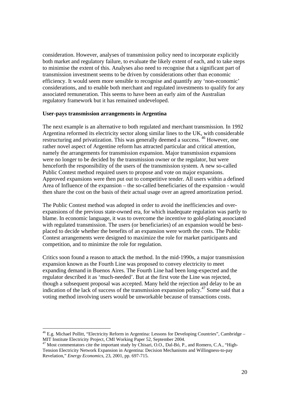consideration. However, analyses of transmission policy need to incorporate explicitly both market and regulatory failure, to evaluate the likely extent of each, and to take steps to minimise the extent of this. Analyses also need to recognise that a significant part of transmission investment seems to be driven by considerations other than economic efficiency. It would seem more sensible to recognise and quantify any 'non-economic' considerations, and to enable both merchant and regulated investments to qualify for any associated remuneration. This seems to have been an early aim of the Australian regulatory framework but it has remained undeveloped.

### **User-pays transmission arrangements in Argentina**

The next example is an alternative to both regulated and merchant transmission. In 1992 Argentina reformed its electricity sector along similar lines to the UK, with considerable restructuring and privatization. This was generally deemed a success. <sup>46</sup> However, one rather novel aspect of Argentine reform has attracted particular and critical attention, namely the arrangements for transmission expansion. Major transmission expansions were no longer to be decided by the transmission owner or the regulator, but were henceforth the responsibility of the users of the transmission system. A new so-called Public Contest method required users to propose and vote on major expansions. Approved expansions were then put out to competitive tender. All users within a defined Area of Influence of the expansion – the so-called beneficiaries of the expansion - would then share the cost on the basis of their actual usage over an agreed amortization period.

The Public Contest method was adopted in order to avoid the inefficiencies and overexpansions of the previous state-owned era, for which inadequate regulation was partly to blame. In economic language, it was to overcome the incentive to gold-plating associated with regulated transmission. The users (or beneficiaries) of an expansion would be bestplaced to decide whether the benefits of an expansion were worth the costs. The Public Contest arrangements were designed to maximize the role for market participants and competition, and to minimize the role for regulation.

Critics soon found a reason to attack the method. In the mid-1990s, a major transmission expansion known as the Fourth Line was proposed to convey electricity to meet expanding demand in Buenos Aires. The Fourth Line had been long-expected and the regulator described it as 'much-needed'. But at the first vote the Line was rejected, though a subsequent proposal was accepted. Many held the rejection and delay to be an indication of the lack of success of the transmission expansion policy. $47$  Some said that a voting method involving users would be unworkable because of transactions costs.

 $\overline{a}$ 

<sup>&</sup>lt;sup>46</sup> E.g. Michael Pollitt, "Electricity Reform in Argentina: Lessons for Developing Countries", Cambridge – MIT Institute Electricity Project, CMI Working Paper 52, September 2004.

<sup>&</sup>lt;sup>47</sup> Most commentators cite the important study by Chisari, O.O., Dal-Bó, P., and Romero, C.A., "High-Tension Electricity Network Expansion in Argentina: Decision Mechanisms and Willingness-to-pay Revelation," *Energy Economics*, 23, 2001, pp. 697-715.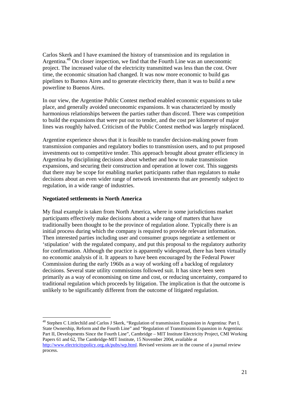Carlos Skerk and I have examined the history of transmission and its regulation in Argentina.48 On closer inspection, we find that the Fourth Line was an uneconomic project. The increased value of the electricity transmitted was less than the cost. Over time, the economic situation had changed. It was now more economic to build gas pipelines to Buenos Aires and to generate electricity there, than it was to build a new powerline to Buenos Aires.

In our view, the Argentine Public Contest method enabled economic expansions to take place, and generally avoided uneconomic expansions. It was characterized by mostly harmonious relationships between the parties rather than discord. There was competition to build the expansions that were put out to tender, and the cost per kilometer of major lines was roughly halved. Criticism of the Public Contest method was largely misplaced.

Argentine experience shows that it is feasible to transfer decision-making power from transmission companies and regulatory bodies to transmission users, and to put proposed investments out to competitive tender. This approach brought about greater efficiency in Argentina by disciplining decisions about whether and how to make transmission expansions, and securing their construction and operation at lower cost. This suggests that there may be scope for enabling market participants rather than regulators to make decisions about an even wider range of network investments that are presently subject to regulation, in a wide range of industries.

# **Negotiated settlements in North America**

My final example is taken from North America, where in some jurisdictions market participants effectively make decisions about a wide range of matters that have traditionally been thought to be the province of regulation alone. Typically there is an initial process during which the company is required to provide relevant information. Then interested parties including user and consumer groups negotiate a settlement or 'stipulation' with the regulated company, and put this proposal to the regulatory authority for confirmation. Although the practice is apparently widespread, there has been virtually no economic analysis of it. It appears to have been encouraged by the Federal Power Commission during the early 1960s as a way of working off a backlog of regulatory decisions. Several state utility commissions followed suit. It has since been seen primarily as a way of economising on time and cost, or reducing uncertainty, compared to traditional regulation which proceeds by litigation. The implication is that the outcome is unlikely to be significantly different from the outcome of litigated regulation.

<sup>48</sup> Stephen C Littlechild and Carlos J Skerk, "Regulation of transmission Expansion in Argentina: Part I, State Ownership, Reform and the Fourth Line" and "Regulation of Transmission Expansion in Argentina: Part II, Developments Since the Fourth Line", Cambridge – MIT Institute Electricity Project, CMI Working Papers 61 and 62, The Cambridge-MIT Institute, 15 November 2004, available at http://www.electricitypolicy.org.uk/pubs/wp.html. Revised versions are in the course of a journal review process.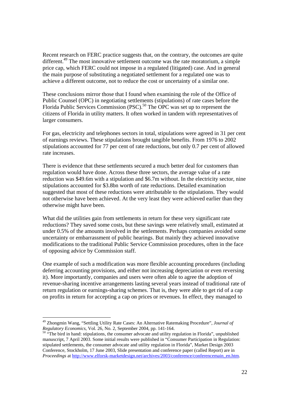Recent research on FERC practice suggests that, on the contrary, the outcomes are quite different.<sup>49</sup> The most innovative settlement outcome was the rate moratorium, a simple price cap, which FERC could not impose in a regulated (litigated) case. And in general the main purpose of substituting a negotiated settlement for a regulated one was to achieve a different outcome, not to reduce the cost or uncertainty of a similar one.

These conclusions mirror those that I found when examining the role of the Office of Public Counsel (OPC) in negotiating settlements (stipulations) of rate cases before the Florida Public Services Commission (PSC).<sup>50</sup> The OPC was set up to represent the citizens of Florida in utility matters. It often worked in tandem with representatives of larger consumers.

For gas, electricity and telephones sectors in total, stipulations were agreed in 31 per cent of earnings reviews. These stipulations brought tangible benefits. From 1976 to 2002 stipulations accounted for 77 per cent of rate reductions, but only 0.7 per cent of allowed rate increases.

There is evidence that these settlements secured a much better deal for customers than regulation would have done. Across these three sectors, the average value of a rate reduction was \$49.6m with a stipulation and \$6.7m without. In the electricity sector, nine stipulations accounted for \$3.8bn worth of rate reductions. Detailed examination suggested that most of these reductions were attributable to the stipulations. They would not otherwise have been achieved. At the very least they were achieved earlier than they otherwise might have been.

What did the utilities gain from settlements in return for these very significant rate reductions? They saved some costs, but these savings were relatively small, estimated at under 0.5% of the amounts involved in the settlements. Perhaps companies avoided some uncertainty or embarrassment of public hearings. But mainly they achieved innovative modifications to the traditional Public Service Commission procedures, often in the face of opposing advice by Commission staff.

One example of such a modification was more flexible accounting procedures (including deferring accounting provisions, and either not increasing depreciation or even reversing it). More importantly, companies and users were often able to agree the adoption of revenue-sharing incentive arrangements lasting several years instead of traditional rate of return regulation or earnings-sharing schemes. That is, they were able to get rid of a cap on profits in return for accepting a cap on prices or revenues. In effect, they managed to

<sup>49</sup> Zhongmin Wang, "Settling Utility Rate Cases: An Alternative Ratemaking Procedure", *Journal of Regulatory Economics*, Vol. 26, No. 2, September 2004, pp. 141-164.<br><sup>50</sup> "The bird in hand: stipulations, the consumer advocate and utility regulation in Florida", unpublished

manuscript, 7 April 2003. Some initial results were published in "Consumer Participation in Regulation: stipulated settlements, the consumer advocate and utility regulation in Florida", Market Design 2003 Conference, Stockholm, 17 June 2003, Slide presentation and conference paper (called Report) are in *Proceedings* at http://www.elforsk-marketdesign.net/archives/2003/conference/conferencemain\_en.htm.